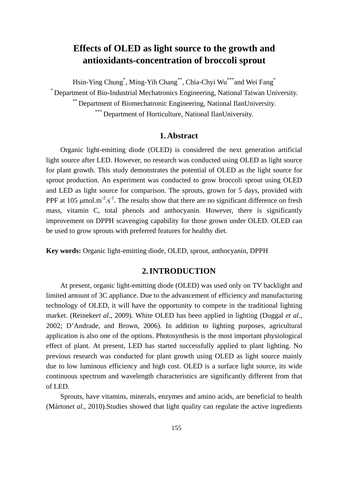# **Effects of OLED as light source to the growth and antioxidants-concentration of broccoli sprout**

Hsin-Ying Chung\* , Ming-Yih Chang\*\*, Chia-Chyi Wu\*\*\*and Wei Fang\*

\* Department of Bio-Industrial Mechatronics Engineering, National Taiwan University. \*\* Department of Biomechatronic Engineering, National IlanUniversity. \*\*\* Department of Horticulture, National IlanUniversity.

# **1. Abstract**

Organic light-emitting diode (OLED) is considered the next generation artificial light source after LED. However, no research was conducted using OLED as light source for plant growth. This study demonstrates the potential of OLED as the light source for sprout production. An experiment was conducted to grow broccoli sprout using OLED and LED as light source for comparison. The sprouts, grown for 5 days, provided with PPF at 105  $\mu$ mol.m<sup>-2</sup>.s<sup>-1</sup>. The results show that there are no significant difference on fresh mass, vitamin C, total phenols and anthocyanin. However, there is significantly improvement on DPPH scavenging capability for those grown under OLED. OLED can be used to grow sprouts with preferred features for healthy diet.

**Key words:** Organic light-emitting diode, OLED, sprout, anthocyanin, DPPH

#### **2. INTRODUCTION**

At present, organic light-emitting diode (OLED) was used only on TV backlight and limited amount of 3C appliance. Due to the advancement of efficiency and manufacturing technology of OLED, it will have the opportunity to compete in the traditional lighting market. (Reineke*et al*., 2009). White OLED has been applied in lighting (Duggal *et al*., 2002; D'Andrade, and Brown, 2006). In addition to lighting purposes, agricultural application is also one of the options. Photosynthesis is the most important physiological effect of plant. At present, LED has started successfully applied to plant lighting. No previous research was conducted for plant growth using OLED as light source mainly due to low luminous efficiency and high cost. OLED is a surface light source, its wide continuous spectrum and wavelength characteristics are significantly different from that of LED.

Sprouts, have vitamins, minerals, enzymes and amino acids, are beneficial to health (Márton*et al*., 2010).Studies showed that light quality can regulate the active ingredients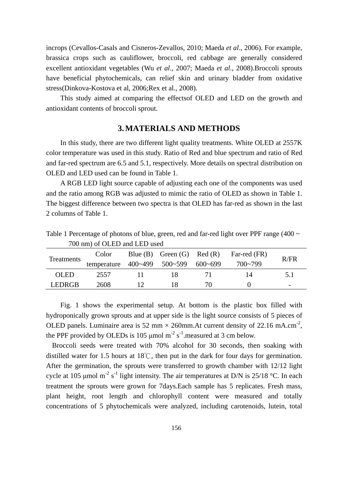incrops (Cevallos-Casals and Cisneros-Zevallos, 2010; Maeda *et al*., 2006). For example, brassica crops such as cauliflower, broccoli, red cabbage are generally considered excellent antioxidant vegetables (Wu *et al*., 2007; Maeda *et al*., 2008).Broccoli sprouts have beneficial phytochemicals, can relief skin and urinary bladder from oxidative stress(Dinkova-Kostova et al, 2006;Rex et al., 2008).

This study aimed at comparing the effectsof OLED and LED on the growth and antioxidant contents of broccoli sprout.

# **3. MATERIALS AND METHODS**

In this study, there are two different light quality treatments. White OLED at 2557K color temperature was used in this study. Ratio of Red and blue spectrum and ratio of Red and far-red spectrum are 6.5 and 5.1, respectively. More details on spectral distribution on OLED and LED used can be found in Table 1.

A RGB LED light source capable of adjusting each one of the components was used and the ratio among RGB was adjusted to mimic the ratio of OLED as shown in Table 1. The biggest difference between two spectra is that OLED has far-red as shown in the last 2 columns of Table 1.

| Too inn) of OLLD and LLD asca |                                     |    |  |     |                                         |                          |  |  |
|-------------------------------|-------------------------------------|----|--|-----|-----------------------------------------|--------------------------|--|--|
| <b>Treatments</b>             | Color                               |    |  |     | Blue (B) Green (G) Red (R) Far-red (FR) | R/FR                     |  |  |
|                               | temperature 400~499 500~599 600~699 |    |  |     | 700~799                                 |                          |  |  |
| OLED.                         | 2557                                |    |  |     | 14                                      | 5.1                      |  |  |
| LEDRGB                        | 2608                                | 12 |  | 70. |                                         | $\overline{\phantom{0}}$ |  |  |

Table 1 Percentage of photons of blue, green, red and far-red light over PPF range (400  $\sim$ 700 nm) of OLED and LED used

Fig. 1 shows the experimental setup. At bottom is the plastic box filled with hydroponically grown sprouts and at upper side is the light source consists of 5 pieces of OLED panels. Luminaire area is 52 mm  $\times$  260mm. At current density of 22.16 mA.cm<sup>-2</sup>, the PPF provided by OLEDs is 105  $\mu$ mol m<sup>-2</sup> s<sup>-1</sup>. measured at 3 cm below.

Broccoli seeds were treated with 70% alcohol for 30 seconds, then soaking with distilled water for 1.5 hours at 18℃, then put in the dark for four days for germination. After the germination, the sprouts were transferred to growth chamber with 12/12 light cycle at 105 µmol m<sup>-2</sup> s<sup>-1</sup> light intensity. The air temperatures at D/N is 25/18 °C. In each treatment the sprouts were grown for 7days.Each sample has 5 replicates. Fresh mass, plant height, root length and chlorophyll content were measured and totally concentrations of 5 phytochemicals were analyzed, including carotenoids, lutein, total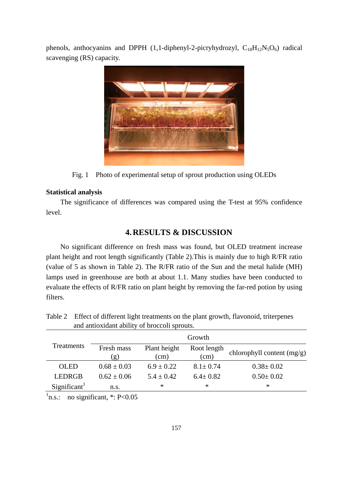phenols, anthocyanins and DPPH (1,1-diphenyl-2-picryhydrozyl,  $C_{18}H_{12}N_5O_6$ ) radical scavenging (RS) capacity.



Fig. 1 Photo of experimental setup of sprout production using OLEDs

# **Statistical analysis**

The significance of differences was compared using the T-test at 95% confidence level.

# **4. RESULTS & DISCUSSION**

No significant difference on fresh mass was found, but OLED treatment increase plant height and root length significantly (Table 2).This is mainly due to high R/FR ratio (value of 5 as shown in Table 2). The R/FR ratio of the Sun and the metal halide (MH) lamps used in greenhouse are both at about 1.1. Many studies have been conducted to evaluate the effects of R/FR ratio on plant height by removing the far-red potion by using filters.

| and antioxidant ability of processing sprouts. |                   |                      |                     |                              |  |  |  |
|------------------------------------------------|-------------------|----------------------|---------------------|------------------------------|--|--|--|
| Treatments                                     | Growth            |                      |                     |                              |  |  |  |
|                                                | Fresh mass<br>(g) | Plant height<br>(cm) | Root length<br>(cm) | chlorophyll content $(mg/g)$ |  |  |  |
| <b>OLED</b>                                    | $0.68 \pm 0.03$   | $6.9 \pm 0.22$       | $8.1 \pm 0.74$      | $0.38 \pm 0.02$              |  |  |  |
| <b>LEDRGB</b>                                  | $0.62 \pm 0.06$   | $5.4 \pm 0.42$       | $6.4 \pm 0.82$      | $0.50 \pm 0.02$              |  |  |  |
| Significant <sup>1</sup>                       | n.s.              | ∗                    | ∗                   | $\ast$                       |  |  |  |

Table 2 Effect of different light treatments on the plant growth, flavonoid, triterpenes and antioxidant ability of broccoli sprouts.

 $\textsuperscript{1}$ n.s.: no significant, \*: P<0.05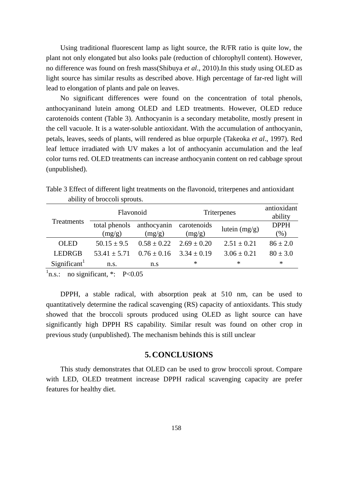Using traditional fluorescent lamp as light source, the R/FR ratio is quite low, the plant not only elongated but also looks pale (reduction of chlorophyll content). However, no difference was found on fresh mass(Shibuya *et al*., 2010).In this study using OLED as light source has similar results as described above. High percentage of far-red light will lead to elongation of plants and pale on leaves.

No significant differences were found on the concentration of total phenols, anthocyaninand lutein among OLED and LED treatments. However, OLED reduce carotenoids content (Table 3). Anthocyanin is a secondary metabolite, mostly present in the cell vacuole. It is a water-soluble antioxidant. With the accumulation of anthocyanin, petals, leaves, seeds of plants, will rendered as blue orpurple (Takeoka *et al*., 1997). Red leaf lettuce irradiated with UV makes a lot of anthocyanin accumulation and the leaf color turns red. OLED treatments can increase anthocyanin content on red cabbage sprout (unpublished).

| Treatments               | Flavonoid        |                                 | Triterpenes | antioxidant<br>ability |              |
|--------------------------|------------------|---------------------------------|-------------|------------------------|--------------|
|                          |                  | total phenols anthocyanin       | carotenoids | lutein $(mg/g)$        | <b>DPPH</b>  |
|                          | (mg/g)           | (mg/g)                          | (mg/g)      |                        | $(\%)$       |
| <b>OLED</b>              | $50.15 \pm 9.5$  | $0.58 \pm 0.22$ $2.69 \pm 0.20$ |             | $2.51 \pm 0.21$        | $86 \pm 2.0$ |
| <b>LEDRGB</b>            | $53.41 \pm 5.71$ | $0.76 \pm 0.16$ $3.34 \pm 0.19$ |             | $3.06 \pm 0.21$        | $80 \pm 3.0$ |
| Significant <sup>1</sup> | n.s.             | n.s                             | *           | ∗                      | $\ast$       |

Table 3 Effect of different light treatments on the flavonoid, triterpenes and antioxidant ability of broccoli sprouts.

 $\textsuperscript{1}$ n.s.: no significant, \*: P<0.05

DPPH, a stable radical, with absorption peak at 510 nm, can be used to quantitatively determine the radical scavenging (RS) capacity of antioxidants. This study showed that the broccoli sprouts produced using OLED as light source can have significantly high DPPH RS capability. Similar result was found on other crop in previous study (unpublished). The mechanism behinds this is still unclear

#### **5. CONCLUSIONS**

This study demonstrates that OLED can be used to grow broccoli sprout. Compare with LED, OLED treatment increase DPPH radical scavenging capacity are prefer features for healthy diet.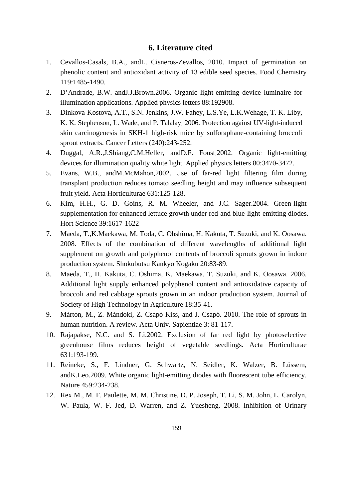# **6. Literature cited**

- 1. Cevallos-Casals, B.A., andL. Cisneros-Zevallos. 2010. Impact of germination on phenolic content and antioxidant activity of 13 edible seed species. Food Chemistry 119:1485-1490.
- 2. D'Andrade, B.W. andJ.J.Brown.2006. Organic light-emitting device luminaire for illumination applications. Applied physics letters 88:192908.
- 3. Dinkova-Kostova, A.T., S.N. Jenkins, J.W. Fahey, L.S.Ye, L.K.Wehage, T. K. Liby, K. K. Stephenson, L. Wade, and P. Talalay. 2006. Protection against UV-light-induced skin carcinogenesis in SKH-1 high-risk mice by sulforaphane-containing broccoli sprout extracts. Cancer Letters (240):243-252.
- 4. Duggal, A.R.,J.Shiang,C.M.Heller, andD.F. Foust.2002. Organic light-emitting devices for illumination quality white light. Applied physics letters 80:3470-3472.
- 5. Evans, W.B., andM.McMahon.2002. Use of far-red light filtering film during transplant production reduces tomato seedling height and may influence subsequent fruit yield. Acta Horticulturae 631:125-128.
- 6. Kim, H.H., G. D. Goins, R. M. Wheeler, and J.C. Sager.2004. Green-light supplementation for enhanced lettuce growth under red-and blue-light-emitting diodes. Hort Science 39:1617-1622
- 7. Maeda, T.,K.Maekawa, M. Toda, C. Ohshima, H. Kakuta, T. Suzuki, and K. Oosawa. 2008. Effects of the combination of different wavelengths of additional light supplement on growth and polyphenol contents of broccoli sprouts grown in indoor production system. Shokubutsu Kankyo Kogaku 20:83-89.
- 8. Maeda, T., H. Kakuta, C. Oshima, K. Maekawa, T. Suzuki, and K. Oosawa. 2006. Additional light supply enhanced polyphenol content and antioxidative capacity of broccoli and red cabbage sprouts grown in an indoor production system. Journal of Society of High Technology in Agriculture 18:35-41.
- 9. Márton, M., Z. Mándoki, Z. Csapó-Kiss, and J. Csapó. 2010. The role of sprouts in human nutrition. A review. Acta Univ. Sapientiae 3: 81-117.
- 10. Rajapakse, N.C. and S. Li.2002. Exclusion of far red light by photoselective greenhouse films reduces height of vegetable seedlings. Acta Horticulturae 631:193-199.
- 11. Reineke, S., F. Lindner, G. Schwartz, N. Seidler, K. Walzer, B. Lüssem, andK.Leo.2009. White organic light-emitting diodes with fluorescent tube efficiency. Nature 459:234-238.
- 12. Rex M., M. F. Paulette, M. M. Christine, D. P. Joseph, T. Li, S. M. John, L. Carolyn, W. Paula, W. F. Jed, D. Warren, and Z. Yuesheng. 2008. Inhibition of Urinary